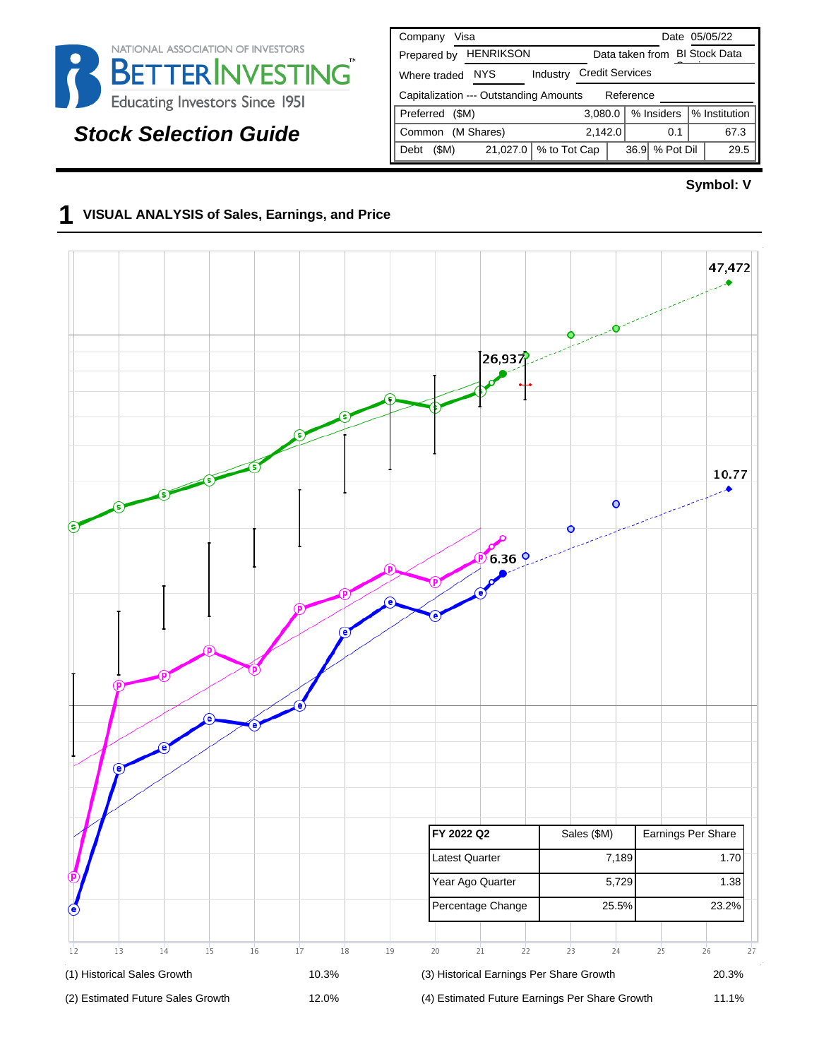

# **Stock Selection Guide**

| Visa<br>Company                                     | Date 05/05/22                          |  |  |  |  |
|-----------------------------------------------------|----------------------------------------|--|--|--|--|
| <b>HENRIKSON</b><br>Prepared by                     | Data taken from BI Stock Data          |  |  |  |  |
| NYS.<br>Industry<br>Where traded                    | <b>Credit Services</b>                 |  |  |  |  |
| Capitalization --- Outstanding Amounts<br>Reference |                                        |  |  |  |  |
| Preferred<br>(SM)                                   | % Insiders<br>% Institution<br>3.080.0 |  |  |  |  |
| (M Shares)<br>Common                                | 67.3<br>2,142.0<br>0.1                 |  |  |  |  |
| % to Tot Cap<br>21,027.0<br>(SM)<br>Debt            | % Pot Dil<br>36.9<br>29.5              |  |  |  |  |

#### **Symbol: V**

#### **1 VISUAL ANALYSIS of Sales, Earnings, and Price**

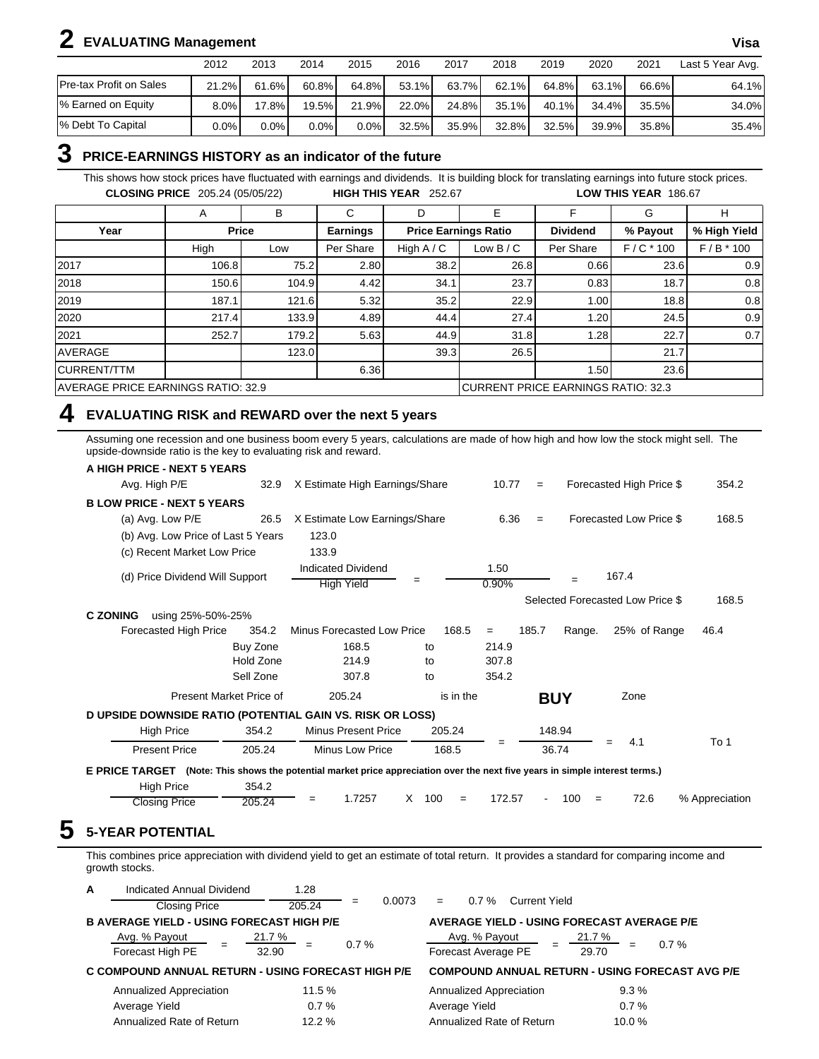# **2 EVALUATING Management Visa**

|                                 | 2012    | 2013     | 2014     | 2015  | 2016  | 2017  | 2018  | 2019     | 2020           | 2021  | Last 5 Year Avg. |
|---------------------------------|---------|----------|----------|-------|-------|-------|-------|----------|----------------|-------|------------------|
| Pre-tax Profit on Sales         | 21.2%   | 61.6%    | $60.8\%$ | 64.8% | 53.1% | 63.7% | 62.1% | 64.8%    | 63.1%          | 66.6% | 64.1%            |
| <sup>1</sup> % Earned on Equity | $8.0\%$ | $17.8\%$ | 19.5% I  | 21.9% | 22.0% | 24.8% | 35.1% | $40.1\%$ | 34.4% <b>I</b> | 35.5% | 34.0%            |
| % Debt To Capital               | $0.0\%$ | 0.0%     | $0.0\%$  | 0.0%  | 32.5% | 35.9% | 32.8% | 32.5%    | $39.9\%$       | 35.8% | 35.4%            |

#### **3 PRICE-EARNINGS HISTORY as an indicator of the future**

This shows how stock prices have fluctuated with earnings and dividends. It is building block for translating earnings into future stock prices. **CLOSING PRICE** 205.24 (05/05/22) **HIGH THIS YEAR** 252.67 **LOW THIS YEAR** 186.67

|                                    | A     | в            | С               | D            | E                                         |                 | G           | н            |
|------------------------------------|-------|--------------|-----------------|--------------|-------------------------------------------|-----------------|-------------|--------------|
| Year                               |       | <b>Price</b> | <b>Earnings</b> |              | <b>Price Earnings Ratio</b>               | <b>Dividend</b> | % Payout    | % High Yield |
|                                    | High  | Low          | Per Share       | High $A / C$ | Low $B/C$                                 | Per Share       | $F/C * 100$ | $F/B * 100$  |
| 2017                               | 106.8 | 75.2         | 2.80            | 38.2         | 26.8                                      | 0.66            | 23.6        | 0.9          |
| 2018                               | 150.6 | 104.9        | 4.42            | 34.1         | 23.7                                      | 0.83            | 18.7        | 0.8          |
| 2019                               | 187.1 | 121.6        | 5.32            | 35.2         | 22.9                                      | 1.00            | 18.8        | 0.8          |
| 2020                               | 217.4 | 133.9        | 4.89            | 44.4         | 27.4                                      | 1.20            | 24.5        | 0.9          |
| 2021                               | 252.7 | 179.2        | 5.63            | 44.9         | 31.8                                      | .28             | 22.7        | 0.7          |
| <b>AVERAGE</b>                     |       | 123.0        |                 | 39.3         | 26.5                                      |                 | 21.7        |              |
| <b>CURRENT/TTM</b>                 |       |              | 6.36            |              |                                           | 1.50            | 23.6        |              |
| AVERAGE PRICE EARNINGS RATIO: 32.9 |       |              |                 |              | <b>CURRENT PRICE EARNINGS RATIO: 32.3</b> |                 |             |              |

#### **4 EVALUATING RISK and REWARD over the next 5 years**

Assuming one recession and one business boom every 5 years, calculations are made of how high and how low the stock might sell. The upside-downside ratio is the key to evaluating risk and reward.

| A HIGH PRICE - NEXT 5 YEARS                               |                         |                                                                                                               |                 |               |       |            |                                  |                |
|-----------------------------------------------------------|-------------------------|---------------------------------------------------------------------------------------------------------------|-----------------|---------------|-------|------------|----------------------------------|----------------|
| Avg. High P/E                                             | 32.9                    | X Estimate High Earnings/Share                                                                                |                 | 10.77         | $=$   |            | Forecasted High Price \$         | 354.2          |
| <b>BLOW PRICE - NEXT 5 YEARS</b>                          |                         |                                                                                                               |                 |               |       |            |                                  |                |
| (a) Avg. Low P/E                                          | 26.5                    | X Estimate Low Earnings/Share                                                                                 |                 | 6.36          | $=$   |            | Forecasted Low Price \$          | 168.5          |
| (b) Avg. Low Price of Last 5 Years                        |                         | 123.0                                                                                                         |                 |               |       |            |                                  |                |
| (c) Recent Market Low Price                               |                         | 133.9                                                                                                         |                 |               |       |            |                                  |                |
| (d) Price Dividend Will Support                           |                         | <b>Indicated Dividend</b><br><b>High Yield</b>                                                                | =               | 1.50<br>0.90% |       | $=$        | 167.4                            |                |
|                                                           |                         |                                                                                                               |                 |               |       |            | Selected Forecasted Low Price \$ | 168.5          |
| <b>C ZONING</b><br>using 25%-50%-25%                      |                         |                                                                                                               |                 |               |       |            |                                  |                |
| Forecasted High Price                                     | 354.2                   | Minus Forecasted Low Price                                                                                    | 168.5           | $=$           | 185.7 | Range.     | 25% of Range                     | 46.4           |
|                                                           | Buy Zone                | 168.5                                                                                                         | to              | 214.9         |       |            |                                  |                |
|                                                           | Hold Zone               | 214.9                                                                                                         | to              | 307.8         |       |            |                                  |                |
|                                                           | Sell Zone               | 307.8                                                                                                         | to              | 354.2         |       |            |                                  |                |
|                                                           | Present Market Price of | 205.24                                                                                                        | is in the       |               |       | <b>BUY</b> | Zone                             |                |
| D UPSIDE DOWNSIDE RATIO (POTENTIAL GAIN VS. RISK OR LOSS) |                         |                                                                                                               |                 |               |       |            |                                  |                |
| <b>High Price</b>                                         | 354.2                   | <b>Minus Present Price</b>                                                                                    | 205.24          |               |       | 148.94     |                                  |                |
| <b>Present Price</b>                                      | 205.24                  | Minus Low Price                                                                                               | 168.5           | =             |       | 36.74      | 4.1                              | To 1           |
| <b>E PRICE TARGET</b>                                     |                         | (Note: This shows the potential market price appreciation over the next five years in simple interest terms.) |                 |               |       |            |                                  |                |
| <b>High Price</b>                                         | 354.2                   |                                                                                                               |                 |               |       |            |                                  |                |
| <b>Closing Price</b>                                      | 205.24                  | 1.7257                                                                                                        | X<br>100<br>$=$ | 172.57        |       | 100<br>$=$ | 72.6                             | % Appreciation |

This combines price appreciation with dividend yield to get an estimate of total return. It provides a standard for comparing income and growth stocks.

| A                                                  | Indicated Annual Dividend                        | 1.28              |               |                                                   |                                                        |
|----------------------------------------------------|--------------------------------------------------|-------------------|---------------|---------------------------------------------------|--------------------------------------------------------|
|                                                    | <b>Closing Price</b>                             | 205.24            | 0.0073<br>$=$ | $0.7\%$<br><b>Current Yield</b><br>$=$            |                                                        |
|                                                    | <b>B AVERAGE YIELD - USING FORECAST HIGH P/E</b> |                   |               | <b>AVERAGE YIELD - USING FORECAST AVERAGE P/E</b> |                                                        |
|                                                    | Avg. % Payout<br>Forecast High PE                | $21.7\%$<br>32.90 | 0.7%          | Avg. % Payout<br>Forecast Average PE              | $21.7\%$<br>0.7%<br>29.70                              |
| C COMPOUND ANNUAL RETURN - USING FORECAST HIGH P/E |                                                  |                   |               |                                                   | <b>COMPOUND ANNUAL RETURN - USING FORECAST AVG P/E</b> |
|                                                    | Annualized Appreciation                          | 11.5 %            |               | Annualized Appreciation                           | 9.3%                                                   |
|                                                    | Average Yield                                    | 0.7%              |               | Average Yield                                     | 0.7%                                                   |
|                                                    | Annualized Rate of Return                        | 12.2 %            |               | Annualized Rate of Return                         | 10.0%                                                  |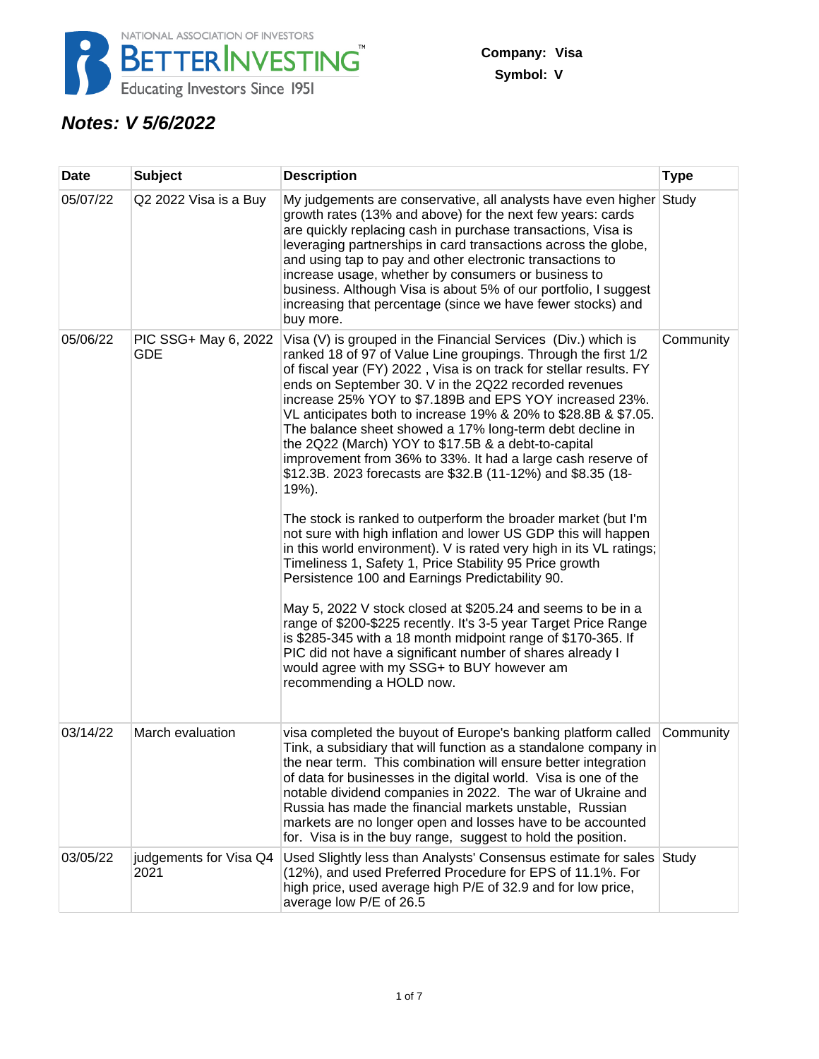

## **Notes: V 5/6/2022**

| Date     | <b>Subject</b>                 | <b>Description</b>                                                                                                                                                                                                                                                                                                                                                                                                                                                                                                                                                                                                                                                                                                                                                                                                                                                                                                                                                                                                                                                                                                                                                                                                                                                                                                     | <b>Type</b> |
|----------|--------------------------------|------------------------------------------------------------------------------------------------------------------------------------------------------------------------------------------------------------------------------------------------------------------------------------------------------------------------------------------------------------------------------------------------------------------------------------------------------------------------------------------------------------------------------------------------------------------------------------------------------------------------------------------------------------------------------------------------------------------------------------------------------------------------------------------------------------------------------------------------------------------------------------------------------------------------------------------------------------------------------------------------------------------------------------------------------------------------------------------------------------------------------------------------------------------------------------------------------------------------------------------------------------------------------------------------------------------------|-------------|
| 05/07/22 | Q2 2022 Visa is a Buy          | My judgements are conservative, all analysts have even higher Study<br>growth rates (13% and above) for the next few years: cards<br>are quickly replacing cash in purchase transactions, Visa is<br>leveraging partnerships in card transactions across the globe,<br>and using tap to pay and other electronic transactions to<br>increase usage, whether by consumers or business to<br>business. Although Visa is about 5% of our portfolio, I suggest<br>increasing that percentage (since we have fewer stocks) and<br>buy more.                                                                                                                                                                                                                                                                                                                                                                                                                                                                                                                                                                                                                                                                                                                                                                                 |             |
| 05/06/22 | PIC SSG+ May 6, 2022<br>GDE    | Visa (V) is grouped in the Financial Services (Div.) which is<br>ranked 18 of 97 of Value Line groupings. Through the first 1/2<br>of fiscal year (FY) 2022, Visa is on track for stellar results. FY<br>ends on September 30. V in the 2Q22 recorded revenues<br>increase 25% YOY to \$7.189B and EPS YOY increased 23%.<br>VL anticipates both to increase 19% & 20% to \$28.8B & \$7.05.<br>The balance sheet showed a 17% long-term debt decline in<br>the 2Q22 (March) YOY to \$17.5B & a debt-to-capital<br>improvement from 36% to 33%. It had a large cash reserve of<br>\$12.3B. 2023 forecasts are \$32.B (11-12%) and \$8.35 (18-<br>19%).<br>The stock is ranked to outperform the broader market (but I'm<br>not sure with high inflation and lower US GDP this will happen<br>in this world environment). V is rated very high in its VL ratings;<br>Timeliness 1, Safety 1, Price Stability 95 Price growth<br>Persistence 100 and Earnings Predictability 90.<br>May 5, 2022 V stock closed at \$205.24 and seems to be in a<br>range of \$200-\$225 recently. It's 3-5 year Target Price Range<br>is \$285-345 with a 18 month midpoint range of \$170-365. If<br>PIC did not have a significant number of shares already I<br>would agree with my SSG+ to BUY however am<br>recommending a HOLD now. | Community   |
| 03/14/22 | March evaluation               | visa completed the buyout of Europe's banking platform called<br>Tink, a subsidiary that will function as a standalone company in<br>the near term. This combination will ensure better integration<br>of data for businesses in the digital world. Visa is one of the<br>notable dividend companies in 2022. The war of Ukraine and<br>Russia has made the financial markets unstable, Russian<br>markets are no longer open and losses have to be accounted<br>for. Visa is in the buy range, suggest to hold the position.                                                                                                                                                                                                                                                                                                                                                                                                                                                                                                                                                                                                                                                                                                                                                                                          | Community   |
| 03/05/22 | judgements for Visa Q4<br>2021 | Used Slightly less than Analysts' Consensus estimate for sales Study<br>(12%), and used Preferred Procedure for EPS of 11.1%. For<br>high price, used average high P/E of 32.9 and for low price,<br>average low P/E of 26.5                                                                                                                                                                                                                                                                                                                                                                                                                                                                                                                                                                                                                                                                                                                                                                                                                                                                                                                                                                                                                                                                                           |             |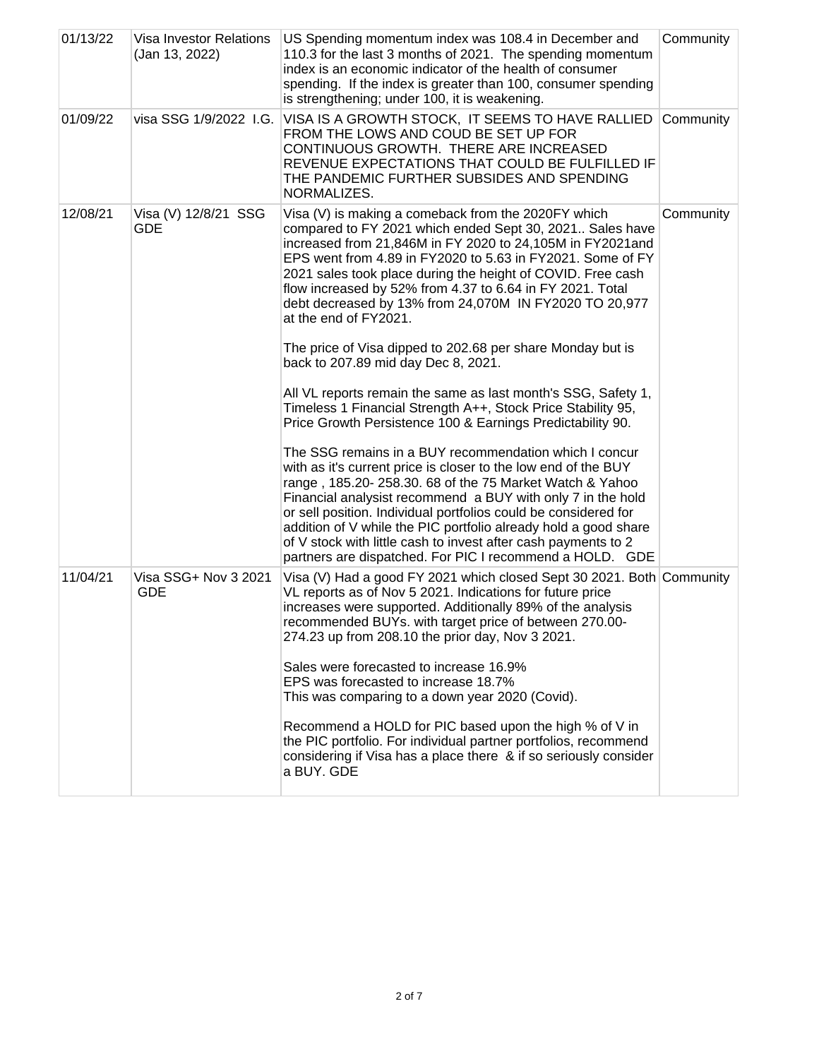| 01/13/22 | Visa Investor Relations<br>(Jan 13, 2022) | US Spending momentum index was 108.4 in December and<br>110.3 for the last 3 months of 2021. The spending momentum<br>index is an economic indicator of the health of consumer<br>spending. If the index is greater than 100, consumer spending<br>is strengthening; under 100, it is weakening.                                                                                                                                                                                                                       | Community |
|----------|-------------------------------------------|------------------------------------------------------------------------------------------------------------------------------------------------------------------------------------------------------------------------------------------------------------------------------------------------------------------------------------------------------------------------------------------------------------------------------------------------------------------------------------------------------------------------|-----------|
| 01/09/22 | visa SSG 1/9/2022 I.G.                    | VISA IS A GROWTH STOCK, IT SEEMS TO HAVE RALLIED<br>FROM THE LOWS AND COUD BE SET UP FOR<br>CONTINUOUS GROWTH. THERE ARE INCREASED<br>REVENUE EXPECTATIONS THAT COULD BE FULFILLED IF<br>THE PANDEMIC FURTHER SUBSIDES AND SPENDING<br>NORMALIZES.                                                                                                                                                                                                                                                                     | Community |
| 12/08/21 | Visa (V) 12/8/21 SSG<br>GDE               | Visa (V) is making a comeback from the 2020FY which<br>compared to FY 2021 which ended Sept 30, 2021 Sales have<br>increased from 21,846M in FY 2020 to 24,105M in FY2021and<br>EPS went from 4.89 in FY2020 to 5.63 in FY2021. Some of FY<br>2021 sales took place during the height of COVID. Free cash<br>flow increased by 52% from 4.37 to 6.64 in FY 2021. Total<br>debt decreased by 13% from 24,070M IN FY2020 TO 20,977<br>at the end of FY2021.                                                              | Community |
|          |                                           | The price of Visa dipped to 202.68 per share Monday but is<br>back to 207.89 mid day Dec 8, 2021.                                                                                                                                                                                                                                                                                                                                                                                                                      |           |
|          |                                           | All VL reports remain the same as last month's SSG, Safety 1,<br>Timeless 1 Financial Strength A++, Stock Price Stability 95,<br>Price Growth Persistence 100 & Earnings Predictability 90.                                                                                                                                                                                                                                                                                                                            |           |
|          |                                           | The SSG remains in a BUY recommendation which I concur<br>with as it's current price is closer to the low end of the BUY<br>range, 185.20-258.30. 68 of the 75 Market Watch & Yahoo<br>Financial analysist recommend a BUY with only 7 in the hold<br>or sell position. Individual portfolios could be considered for<br>addition of V while the PIC portfolio already hold a good share<br>of V stock with little cash to invest after cash payments to 2<br>partners are dispatched. For PIC I recommend a HOLD. GDE |           |
| 11/04/21 | Visa SSG+ Nov 3 2021<br><b>GDE</b>        | Visa (V) Had a good FY 2021 which closed Sept 30 2021. Both Community<br>VL reports as of Nov 5 2021. Indications for future price<br>increases were supported. Additionally 89% of the analysis<br>recommended BUYs. with target price of between 270.00-<br>274.23 up from 208.10 the prior day, Nov 3 2021.                                                                                                                                                                                                         |           |
|          |                                           | Sales were forecasted to increase 16.9%<br>EPS was forecasted to increase 18.7%<br>This was comparing to a down year 2020 (Covid).                                                                                                                                                                                                                                                                                                                                                                                     |           |
|          |                                           | Recommend a HOLD for PIC based upon the high % of V in<br>the PIC portfolio. For individual partner portfolios, recommend<br>considering if Visa has a place there & if so seriously consider<br>a BUY. GDE                                                                                                                                                                                                                                                                                                            |           |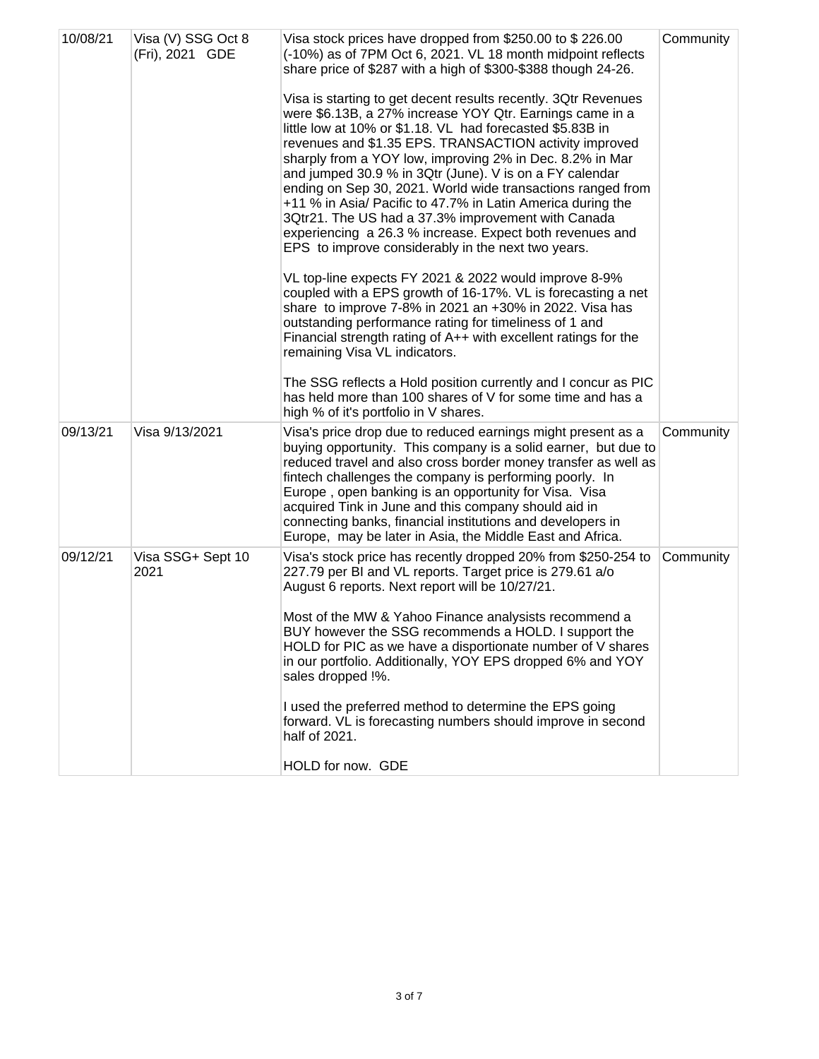| 10/08/21 | Visa (V) SSG Oct 8<br>(Fri), 2021 GDE | Visa stock prices have dropped from \$250.00 to \$226.00<br>(-10%) as of 7PM Oct 6, 2021. VL 18 month midpoint reflects<br>share price of \$287 with a high of \$300-\$388 though 24-26.<br>Visa is starting to get decent results recently. 3Qtr Revenues<br>were \$6.13B, a 27% increase YOY Qtr. Earnings came in a<br>little low at 10% or \$1.18. VL had forecasted \$5.83B in<br>revenues and \$1.35 EPS. TRANSACTION activity improved<br>sharply from a YOY low, improving 2% in Dec. 8.2% in Mar<br>and jumped 30.9 % in 3Qtr (June). V is on a FY calendar<br>ending on Sep 30, 2021. World wide transactions ranged from<br>+11 % in Asia/ Pacific to 47.7% in Latin America during the<br>3Qtr21. The US had a 37.3% improvement with Canada<br>experiencing a 26.3 % increase. Expect both revenues and<br>EPS to improve considerably in the next two years.<br>VL top-line expects FY 2021 & 2022 would improve 8-9%<br>coupled with a EPS growth of 16-17%. VL is forecasting a net<br>share to improve 7-8% in 2021 an +30% in 2022. Visa has<br>outstanding performance rating for timeliness of 1 and<br>Financial strength rating of A++ with excellent ratings for the<br>remaining Visa VL indicators.<br>The SSG reflects a Hold position currently and I concur as PIC<br>has held more than 100 shares of V for some time and has a<br>high % of it's portfolio in V shares. | Community |
|----------|---------------------------------------|-------------------------------------------------------------------------------------------------------------------------------------------------------------------------------------------------------------------------------------------------------------------------------------------------------------------------------------------------------------------------------------------------------------------------------------------------------------------------------------------------------------------------------------------------------------------------------------------------------------------------------------------------------------------------------------------------------------------------------------------------------------------------------------------------------------------------------------------------------------------------------------------------------------------------------------------------------------------------------------------------------------------------------------------------------------------------------------------------------------------------------------------------------------------------------------------------------------------------------------------------------------------------------------------------------------------------------------------------------------------------------------------------------|-----------|
| 09/13/21 | Visa 9/13/2021                        | Visa's price drop due to reduced earnings might present as a<br>buying opportunity. This company is a solid earner, but due to<br>reduced travel and also cross border money transfer as well as<br>fintech challenges the company is performing poorly. In<br>Europe, open banking is an opportunity for Visa. Visa<br>acquired Tink in June and this company should aid in<br>connecting banks, financial institutions and developers in<br>Europe, may be later in Asia, the Middle East and Africa.                                                                                                                                                                                                                                                                                                                                                                                                                                                                                                                                                                                                                                                                                                                                                                                                                                                                                               | Community |
| 09/12/21 | Visa SSG+ Sept 10<br>2021             | Visa's stock price has recently dropped 20% from \$250-254 to<br>227.79 per BI and VL reports. Target price is 279.61 a/o<br>August 6 reports. Next report will be 10/27/21.<br>Most of the MW & Yahoo Finance analysists recommend a<br>BUY however the SSG recommends a HOLD. I support the<br>HOLD for PIC as we have a disportionate number of V shares<br>in our portfolio. Additionally, YOY EPS dropped 6% and YOY<br>sales dropped !%.<br>I used the preferred method to determine the EPS going<br>forward. VL is forecasting numbers should improve in second<br>half of 2021.<br>HOLD for now. GDE                                                                                                                                                                                                                                                                                                                                                                                                                                                                                                                                                                                                                                                                                                                                                                                         | Community |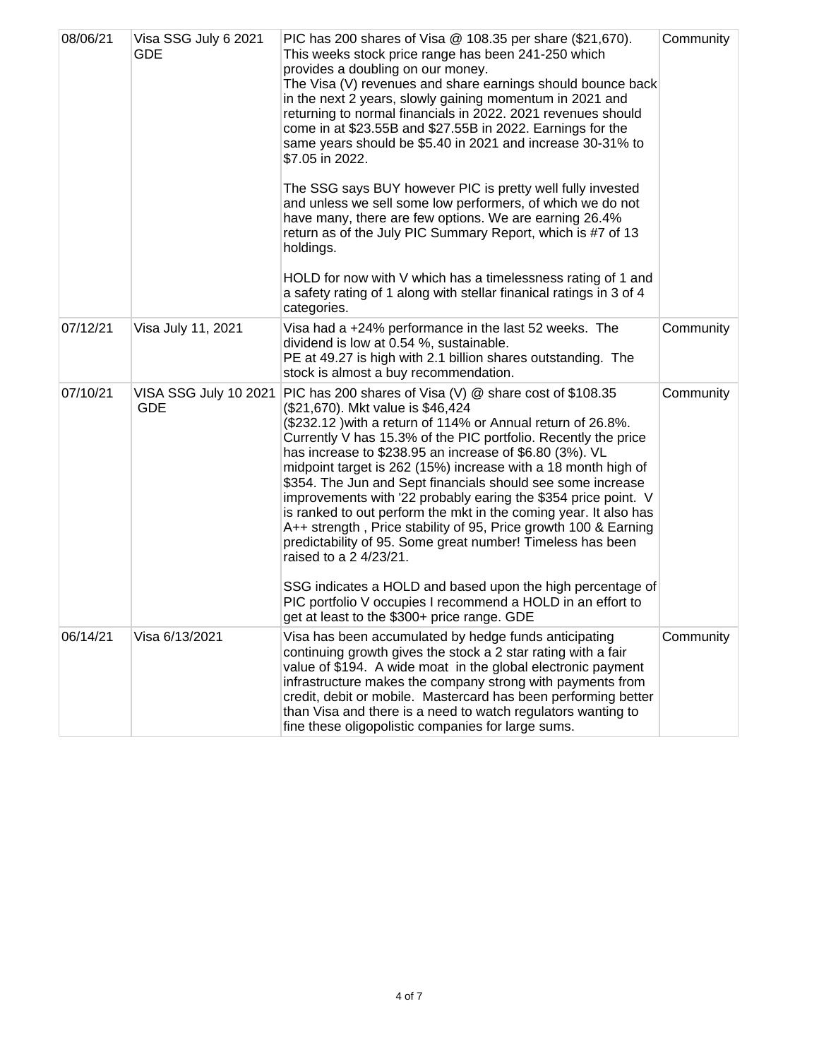| 08/06/21 | Visa SSG July 6 2021<br><b>GDE</b>  | PIC has 200 shares of Visa @ 108.35 per share (\$21,670).<br>This weeks stock price range has been 241-250 which<br>provides a doubling on our money.<br>The Visa (V) revenues and share earnings should bounce back<br>in the next 2 years, slowly gaining momentum in 2021 and<br>returning to normal financials in 2022. 2021 revenues should<br>come in at \$23.55B and \$27.55B in 2022. Earnings for the<br>same years should be \$5.40 in 2021 and increase 30-31% to<br>\$7.05 in 2022.                                                                                                                                                                                                                           | Community |
|----------|-------------------------------------|---------------------------------------------------------------------------------------------------------------------------------------------------------------------------------------------------------------------------------------------------------------------------------------------------------------------------------------------------------------------------------------------------------------------------------------------------------------------------------------------------------------------------------------------------------------------------------------------------------------------------------------------------------------------------------------------------------------------------|-----------|
|          |                                     | The SSG says BUY however PIC is pretty well fully invested<br>and unless we sell some low performers, of which we do not<br>have many, there are few options. We are earning 26.4%<br>return as of the July PIC Summary Report, which is #7 of 13<br>holdings.                                                                                                                                                                                                                                                                                                                                                                                                                                                            |           |
|          |                                     | HOLD for now with V which has a timelessness rating of 1 and<br>a safety rating of 1 along with stellar finanical ratings in 3 of 4<br>categories.                                                                                                                                                                                                                                                                                                                                                                                                                                                                                                                                                                        |           |
| 07/12/21 | Visa July 11, 2021                  | Visa had a +24% performance in the last 52 weeks. The<br>dividend is low at 0.54 %, sustainable.<br>PE at 49.27 is high with 2.1 billion shares outstanding. The<br>stock is almost a buy recommendation.                                                                                                                                                                                                                                                                                                                                                                                                                                                                                                                 | Community |
| 07/10/21 | VISA SSG July 10 2021<br><b>GDE</b> | PIC has 200 shares of Visa (V) @ share cost of \$108.35<br>(\$21,670). Mkt value is \$46,424<br>(\$232.12) with a return of 114% or Annual return of 26.8%.<br>Currently V has 15.3% of the PIC portfolio. Recently the price<br>has increase to \$238.95 an increase of \$6.80 (3%). VL<br>midpoint target is 262 (15%) increase with a 18 month high of<br>\$354. The Jun and Sept financials should see some increase<br>improvements with '22 probably earing the \$354 price point. V<br>is ranked to out perform the mkt in the coming year. It also has<br>A++ strength, Price stability of 95, Price growth 100 & Earning<br>predictability of 95. Some great number! Timeless has been<br>raised to a 2 4/23/21. | Community |
|          |                                     | SSG indicates a HOLD and based upon the high percentage of<br>PIC portfolio V occupies I recommend a HOLD in an effort to<br>get at least to the \$300+ price range. GDE                                                                                                                                                                                                                                                                                                                                                                                                                                                                                                                                                  |           |
| 06/14/21 | Visa 6/13/2021                      | Visa has been accumulated by hedge funds anticipating<br>continuing growth gives the stock a 2 star rating with a fair<br>value of \$194. A wide moat in the global electronic payment<br>infrastructure makes the company strong with payments from<br>credit, debit or mobile. Mastercard has been performing better<br>than Visa and there is a need to watch regulators wanting to<br>fine these oligopolistic companies for large sums.                                                                                                                                                                                                                                                                              | Community |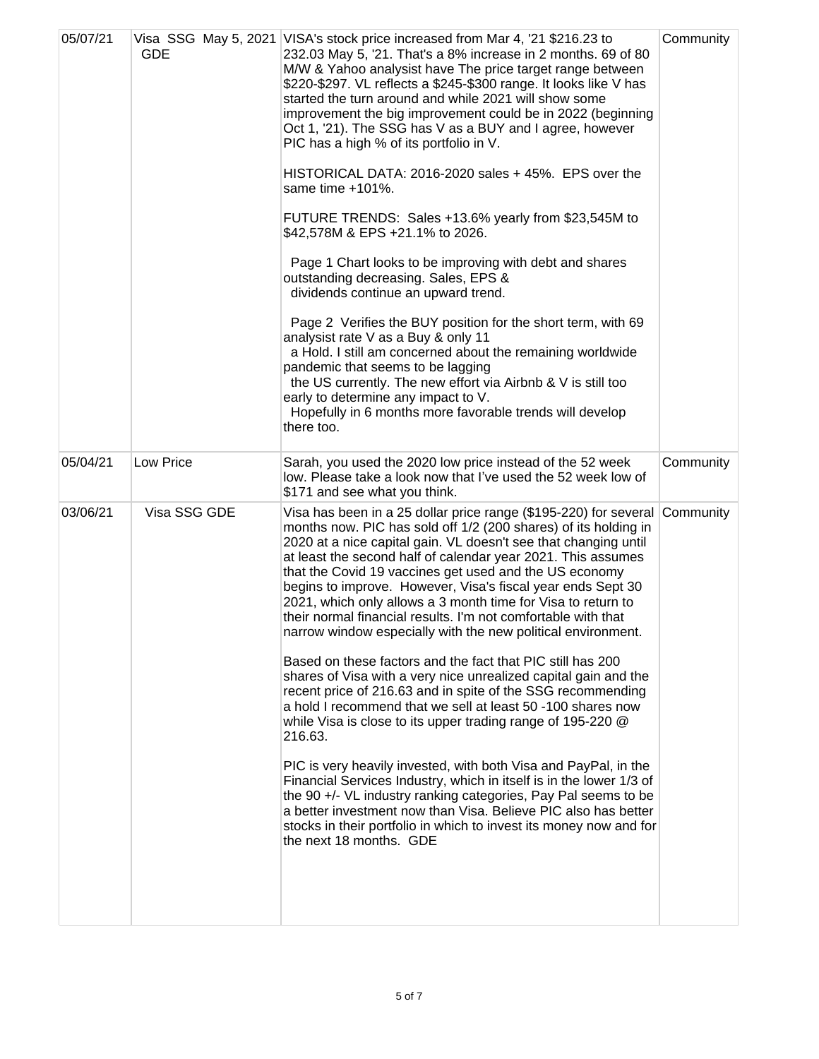| 05/07/21 | <b>GDE</b>   | Visa SSG May 5, 2021 VISA's stock price increased from Mar 4, '21 \$216.23 to<br>232.03 May 5, '21. That's a 8% increase in 2 months. 69 of 80<br>M/W & Yahoo analysist have The price target range between<br>\$220-\$297. VL reflects a \$245-\$300 range. It looks like V has<br>started the turn around and while 2021 will show some<br>improvement the big improvement could be in 2022 (beginning<br>Oct 1, '21). The SSG has V as a BUY and I agree, however<br>PIC has a high % of its portfolio in V.<br>HISTORICAL DATA: 2016-2020 sales + 45%. EPS over the<br>same time $+101\%$ .<br>FUTURE TRENDS: Sales +13.6% yearly from \$23,545M to<br>\$42,578M & EPS +21.1% to 2026.<br>Page 1 Chart looks to be improving with debt and shares<br>outstanding decreasing. Sales, EPS &<br>dividends continue an upward trend.<br>Page 2 Verifies the BUY position for the short term, with 69<br>analysist rate V as a Buy & only 11<br>a Hold. I still am concerned about the remaining worldwide<br>pandemic that seems to be lagging<br>the US currently. The new effort via Airbnb & V is still too<br>early to determine any impact to V.<br>Hopefully in 6 months more favorable trends will develop<br>there too.                                                                                          | Community |
|----------|--------------|--------------------------------------------------------------------------------------------------------------------------------------------------------------------------------------------------------------------------------------------------------------------------------------------------------------------------------------------------------------------------------------------------------------------------------------------------------------------------------------------------------------------------------------------------------------------------------------------------------------------------------------------------------------------------------------------------------------------------------------------------------------------------------------------------------------------------------------------------------------------------------------------------------------------------------------------------------------------------------------------------------------------------------------------------------------------------------------------------------------------------------------------------------------------------------------------------------------------------------------------------------------------------------------------------------------------------|-----------|
| 05/04/21 | Low Price    | Sarah, you used the 2020 low price instead of the 52 week<br>low. Please take a look now that I've used the 52 week low of<br>\$171 and see what you think.                                                                                                                                                                                                                                                                                                                                                                                                                                                                                                                                                                                                                                                                                                                                                                                                                                                                                                                                                                                                                                                                                                                                                              | Community |
| 03/06/21 | Visa SSG GDE | Visa has been in a 25 dollar price range (\$195-220) for several<br>months now. PIC has sold off 1/2 (200 shares) of its holding in<br>2020 at a nice capital gain. VL doesn't see that changing until<br>at least the second half of calendar year 2021. This assumes<br>that the Covid 19 vaccines get used and the US economy<br>begins to improve. However, Visa's fiscal year ends Sept 30<br>2021, which only allows a 3 month time for Visa to return to<br>their normal financial results. I'm not comfortable with that<br>narrow window especially with the new political environment.<br>Based on these factors and the fact that PIC still has 200<br>shares of Visa with a very nice unrealized capital gain and the<br>recent price of 216.63 and in spite of the SSG recommending<br>a hold I recommend that we sell at least 50 -100 shares now<br>while Visa is close to its upper trading range of 195-220 @<br>216.63.<br>PIC is very heavily invested, with both Visa and PayPal, in the<br>Financial Services Industry, which in itself is in the lower 1/3 of<br>the 90 +/- VL industry ranking categories, Pay Pal seems to be<br>a better investment now than Visa. Believe PIC also has better<br>stocks in their portfolio in which to invest its money now and for<br>the next 18 months. GDE | Community |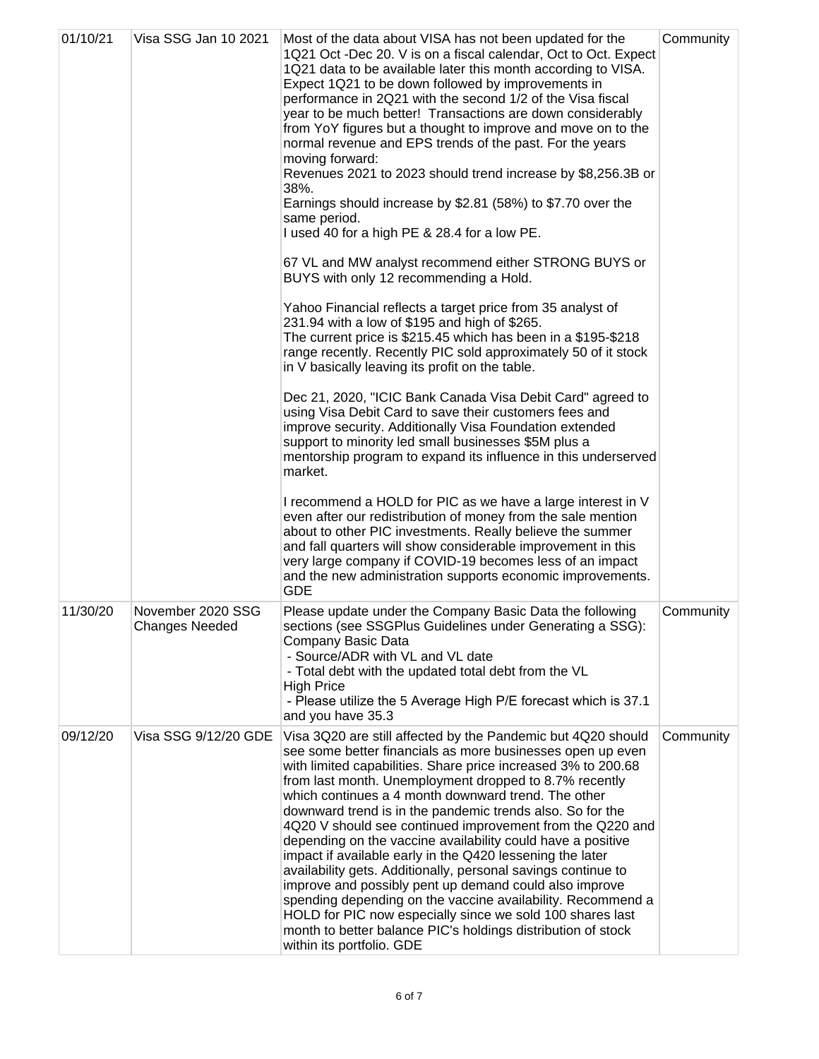| 01/10/21 | Visa SSG Jan 10 2021                       | Most of the data about VISA has not been updated for the<br>1Q21 Oct -Dec 20. V is on a fiscal calendar, Oct to Oct. Expect<br>1Q21 data to be available later this month according to VISA.<br>Expect 1Q21 to be down followed by improvements in<br>performance in 2Q21 with the second 1/2 of the Visa fiscal<br>year to be much better! Transactions are down considerably<br>from YoY figures but a thought to improve and move on to the<br>normal revenue and EPS trends of the past. For the years<br>moving forward:<br>Revenues 2021 to 2023 should trend increase by \$8,256.3B or<br>38%.<br>Earnings should increase by \$2.81 (58%) to \$7.70 over the<br>same period.<br>I used 40 for a high PE & 28.4 for a low PE.<br>67 VL and MW analyst recommend either STRONG BUYS or<br>BUYS with only 12 recommending a Hold.<br>Yahoo Financial reflects a target price from 35 analyst of<br>231.94 with a low of \$195 and high of \$265.<br>The current price is \$215.45 which has been in a \$195-\$218<br>range recently. Recently PIC sold approximately 50 of it stock<br>in V basically leaving its profit on the table.<br>Dec 21, 2020, "ICIC Bank Canada Visa Debit Card" agreed to<br>using Visa Debit Card to save their customers fees and<br>improve security. Additionally Visa Foundation extended<br>support to minority led small businesses \$5M plus a<br>mentorship program to expand its influence in this underserved<br>market. | Community |
|----------|--------------------------------------------|---------------------------------------------------------------------------------------------------------------------------------------------------------------------------------------------------------------------------------------------------------------------------------------------------------------------------------------------------------------------------------------------------------------------------------------------------------------------------------------------------------------------------------------------------------------------------------------------------------------------------------------------------------------------------------------------------------------------------------------------------------------------------------------------------------------------------------------------------------------------------------------------------------------------------------------------------------------------------------------------------------------------------------------------------------------------------------------------------------------------------------------------------------------------------------------------------------------------------------------------------------------------------------------------------------------------------------------------------------------------------------------------------------------------------------------------------------------------|-----------|
|          |                                            | I recommend a HOLD for PIC as we have a large interest in V<br>even after our redistribution of money from the sale mention<br>about to other PIC investments. Really believe the summer<br>and fall quarters will show considerable improvement in this<br>very large company if COVID-19 becomes less of an impact<br>and the new administration supports economic improvements.<br><b>GDE</b>                                                                                                                                                                                                                                                                                                                                                                                                                                                                                                                                                                                                                                                                                                                                                                                                                                                                                                                                                                                                                                                                    |           |
| 11/30/20 | November 2020 SSG<br><b>Changes Needed</b> | Please update under the Company Basic Data the following<br>sections (see SSGPlus Guidelines under Generating a SSG):<br>Company Basic Data<br>- Source/ADR with VL and VL date<br>- Total debt with the updated total debt from the VL<br><b>High Price</b><br>- Please utilize the 5 Average High P/E forecast which is 37.1<br>and you have 35.3                                                                                                                                                                                                                                                                                                                                                                                                                                                                                                                                                                                                                                                                                                                                                                                                                                                                                                                                                                                                                                                                                                                 | Community |
| 09/12/20 | Visa SSG 9/12/20 GDE                       | Visa 3Q20 are still affected by the Pandemic but 4Q20 should<br>see some better financials as more businesses open up even<br>with limited capabilities. Share price increased 3% to 200.68<br>from last month. Unemployment dropped to 8.7% recently<br>which continues a 4 month downward trend. The other<br>downward trend is in the pandemic trends also. So for the<br>4Q20 V should see continued improvement from the Q220 and<br>depending on the vaccine availability could have a positive<br>impact if available early in the Q420 lessening the later<br>availability gets. Additionally, personal savings continue to<br>improve and possibly pent up demand could also improve<br>spending depending on the vaccine availability. Recommend a<br>HOLD for PIC now especially since we sold 100 shares last<br>month to better balance PIC's holdings distribution of stock<br>within its portfolio. GDE                                                                                                                                                                                                                                                                                                                                                                                                                                                                                                                                              | Community |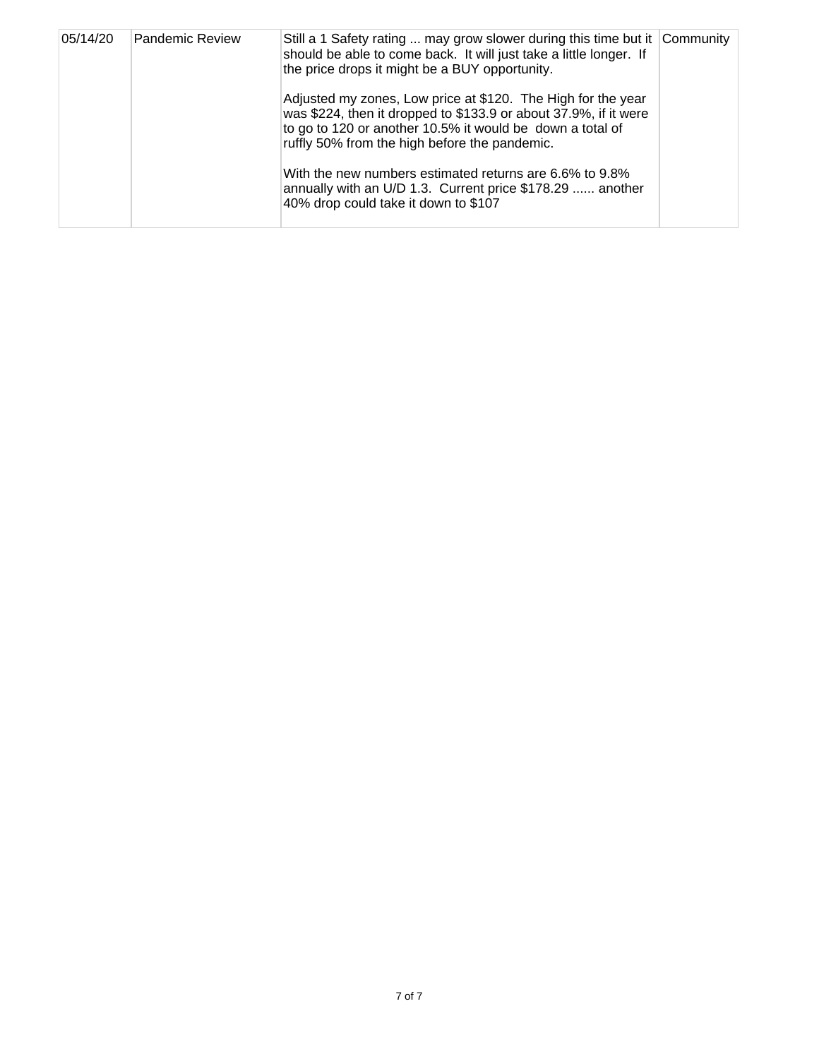| 05/14/20 | <b>Pandemic Review</b> | Still a 1 Safety rating  may grow slower during this time but it Community<br>should be able to come back. It will just take a little longer. If<br>the price drops it might be a BUY opportunity.                                             |  |
|----------|------------------------|------------------------------------------------------------------------------------------------------------------------------------------------------------------------------------------------------------------------------------------------|--|
|          |                        | Adjusted my zones, Low price at \$120. The High for the year<br>was \$224, then it dropped to \$133.9 or about 37.9%, if it were<br>to go to 120 or another 10.5% it would be down a total of<br>ruffly 50% from the high before the pandemic. |  |
|          |                        | With the new numbers estimated returns are 6.6% to 9.8%<br>annually with an U/D 1.3. Current price \$178.29  another<br>40% drop could take it down to \$107                                                                                   |  |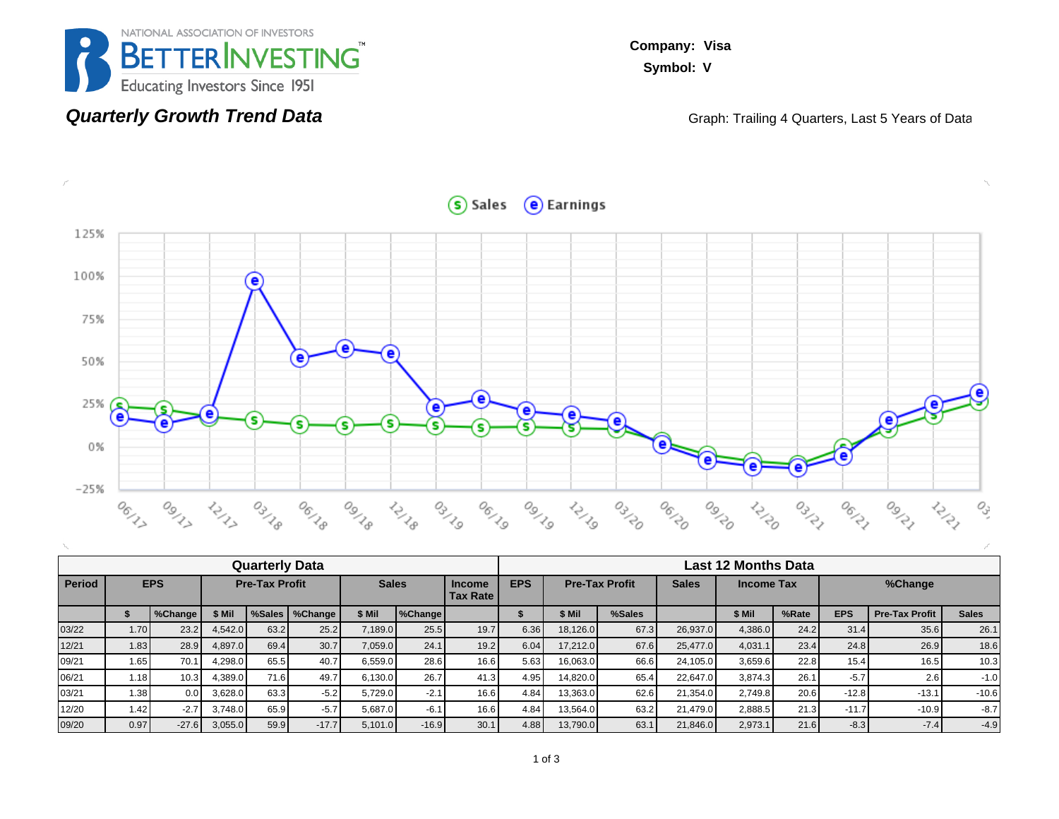

### **Quarterly Growth Trend Data**

**Company: Visa Symbol: V**

Graph: Trailing 4 Quarters, Last 5 Years of Data



| <b>Quarterly Data</b> |      |                   |                       |      |                  |              |         |                                  |            | <b>Last 12 Months Data</b> |        |              |            |       |            |                       |              |  |  |  |
|-----------------------|------|-------------------|-----------------------|------|------------------|--------------|---------|----------------------------------|------------|----------------------------|--------|--------------|------------|-------|------------|-----------------------|--------------|--|--|--|
| <b>Period</b>         |      | <b>EPS</b>        | <b>Pre-Tax Profit</b> |      |                  | <b>Sales</b> |         | <b>Income</b><br><b>Tax Rate</b> | <b>EPS</b> | <b>Pre-Tax Profit</b>      |        | <b>Sales</b> | Income Tax |       | %Change    |                       |              |  |  |  |
|                       |      | %Change           | \$ Mil                |      | %Sales   %Change | \$ Mil       | %Change |                                  |            | \$ Mil                     | %Sales |              | \$ Mil     | %Rate | <b>EPS</b> | <b>Pre-Tax Profit</b> | <b>Sales</b> |  |  |  |
| 03/22                 | 1.70 | 23.2              | 4,542.0               | 63.2 | 25.2             | 7,189.0      | 25.5    | 19.7                             | 6.36       | 18,126.0                   | 67.3   | 26,937.0     | 4,386.0    | 24.2  | 31.4       | 35.6                  | 26.1         |  |  |  |
| 12/21                 | 1.83 | 28.9              | 4,897.0               | 69.4 | 30.7             | 7.059.0      | 24.1    | 19.2                             | 6.04       | 17.212.0                   | 67.6   | 25.477.0     | 4.031.1    | 23.4  | 24.8       | 26.9                  | 18.6         |  |  |  |
| 09/21                 | 1.65 | 70.1              | 4.298.0               | 65.5 | 40.7             | 6.559.0      | 28.6    | 16.6                             | 5.63       | 16.063.0                   | 66.6   | 24.105.0     | 3,659.6    | 22.8  | 15.4       | 16.5                  | 10.3         |  |  |  |
| 06/21                 | 1.18 | 10.3 <sub>1</sub> | 4,389.0               | 71.6 | 49.7             | 6.130.0      | 26.7    | 41.3                             | 4.95       | 14.820.0                   | 65.4   | 22,647.0     | 3.874.3    | 26.1  | $-5.7$     | 2.6                   | $-1.0$       |  |  |  |
| 03/21                 | 1.38 | 0.01              | 3,628.0               | 63.3 | $-5.2$           | 5,729.0      | $-2.1$  | 16.6                             | 4.84       | 13,363.0                   | 62.6   | 21,354.0     | 2.749.8    | 20.6  | $-12.8$    | $-13.1$               | $-10.6$      |  |  |  |
| 12/20                 | 1.42 | $-2.7$            | 3.748.0               | 65.9 | $-5.7$           | 5.687.0      | $-6.1$  | 16.6                             | 4.84       | 13.564.0                   | 63.2   | 21.479.0     | 2,888.5    | 21.3  | $-11.7$    | $-10.9$               | $-8.7$       |  |  |  |
| 09/20                 | 0.97 | $-27.6$           | 3,055.0               | 59.9 | $-17.7$          | 5.101.0      | $-16.9$ | 30.1                             | 4.88       | 13.790.0                   | 63.1   | 21,846.0     | 2,973.1    | 21.6  | $-8.3$     | $-7.4$                | $-4.9$       |  |  |  |

#### Sales e Earnings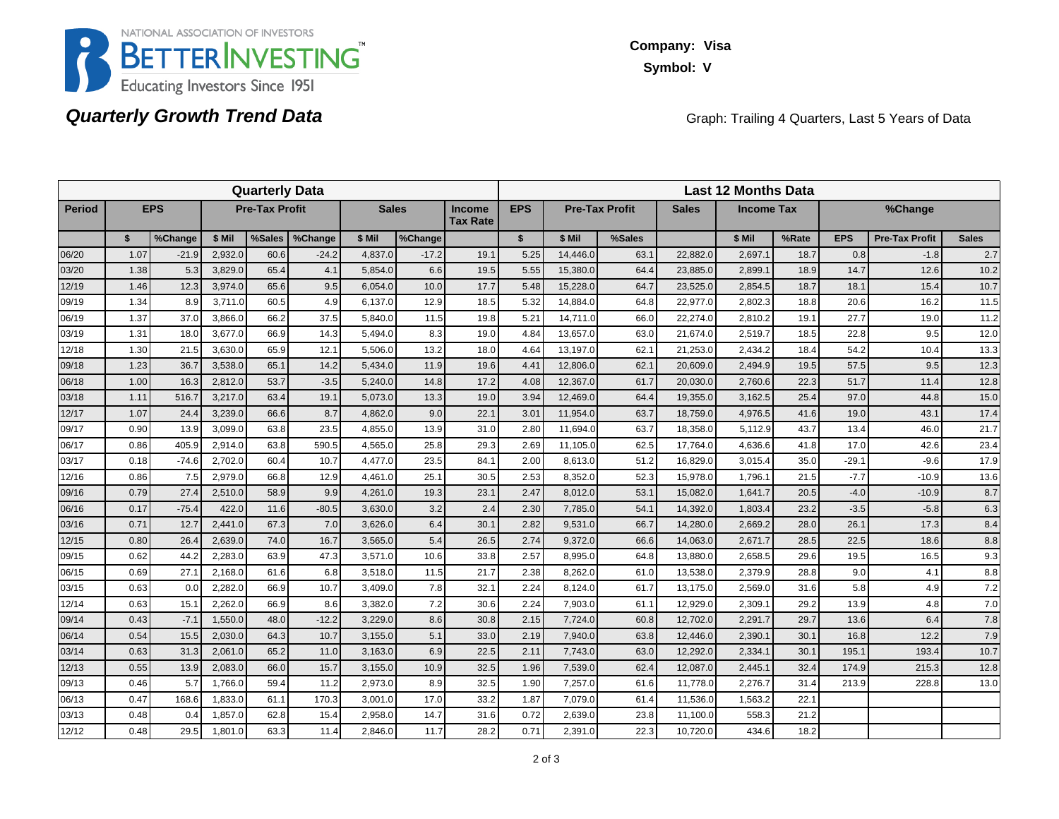

### **Quarterly Growth Trend Data**

**Company: Visa Symbol: V**

Graph: Trailing 4 Quarters, Last 5 Years of Data

| <b>Quarterly Data</b> |      |            |                       |        |         |              |         |                                  | <b>Last 12 Months Data</b> |                       |        |              |                   |       |            |                       |              |  |
|-----------------------|------|------------|-----------------------|--------|---------|--------------|---------|----------------------------------|----------------------------|-----------------------|--------|--------------|-------------------|-------|------------|-----------------------|--------------|--|
| <b>Period</b>         |      | <b>EPS</b> | <b>Pre-Tax Profit</b> |        |         | <b>Sales</b> |         | <b>Income</b><br><b>Tax Rate</b> | <b>EPS</b>                 | <b>Pre-Tax Profit</b> |        | <b>Sales</b> | <b>Income Tax</b> |       | %Change    |                       |              |  |
|                       | \$   | %Change    | \$ Mil                | %Sales | %Change | \$ Mil       | %Change |                                  | $\mathbf{s}$               | \$ Mil                | %Sales |              | \$ Mil            | %Rate | <b>EPS</b> | <b>Pre-Tax Profit</b> | <b>Sales</b> |  |
| 06/20                 | 1.07 | $-21.9$    | 2.932.0               | 60.6   | $-24.2$ | 4,837.0      | $-17.2$ | 19.1                             | 5.25                       | 14.446.0              | 63.1   | 22.882.0     | 2,697.1           | 18.7  | 0.8        | $-1.8$                | 2.7          |  |
| 03/20                 | 1.38 | 5.3        | 3,829.0               | 65.4   | 4.1     | 5,854.0      | 6.6     | 19.5                             | 5.55                       | 15,380.0              | 64.4   | 23,885.0     | 2,899.1           | 18.9  | 14.7       | 12.6                  | 10.2         |  |
| 12/19                 | 1.46 | 12.3       | 3,974.0               | 65.6   | 9.5     | 6,054.0      | 10.0    | 17.7                             | 5.48                       | 15,228.0              | 64.7   | 23,525.0     | 2,854.5           | 18.7  | 18.1       | 15.4                  | 10.7         |  |
| 09/19                 | 1.34 | 8.9        | 3,711.0               | 60.5   | 4.9     | 6,137.0      | 12.9    | 18.5                             | 5.32                       | 14,884.0              | 64.8   | 22,977.0     | 2,802.3           | 18.8  | 20.6       | 16.2                  | 11.5         |  |
| 06/19                 | 1.37 | 37.0       | 3,866.0               | 66.2   | 37.5    | 5.840.0      | 11.5    | 19.8                             | 5.21                       | 14,711.0              | 66.0   | 22,274.0     | 2,810.2           | 19.1  | 27.7       | 19.0                  | 11.2         |  |
| 03/19                 | 1.31 | 18.0       | 3,677.0               | 66.9   | 14.3    | 5,494.0      | 8.3     | 19.0                             | 4.84                       | 13,657.0              | 63.0   | 21,674.0     | 2,519.7           | 18.5  | 22.8       | 9.5                   | 12.0         |  |
| 12/18                 | 1.30 | 21.5       | 3,630.0               | 65.9   | 12.1    | 5,506.0      | 13.2    | 18.0                             | 4.64                       | 13,197.0              | 62.1   | 21,253.0     | 2,434.2           | 18.4  | 54.2       | 10.4                  | 13.3         |  |
| 09/18                 | 1.23 | 36.7       | 3,538.0               | 65.1   | 14.2    | 5,434.0      | 11.9    | 19.6                             | 4.41                       | 12,806.0              | 62.1   | 20,609.0     | 2,494.9           | 19.5  | 57.5       | 9.5                   | 12.3         |  |
| 06/18                 | 1.00 | 16.3       | 2,812.0               | 53.7   | $-3.5$  | 5,240.0      | 14.8    | 17.2                             | 4.08                       | 12.367.0              | 61.7   | 20,030.0     | 2,760.6           | 22.3  | 51.7       | 11.4                  | 12.8         |  |
| 03/18                 | 1.11 | 516.7      | 3,217.0               | 63.4   | 19.1    | 5,073.0      | 13.3    | 19.0                             | 3.94                       | 12,469.0              | 64.4   | 19,355.0     | 3,162.5           | 25.4  | 97.0       | 44.8                  | 15.0         |  |
| 12/17                 | 1.07 | 24.4       | 3,239.0               | 66.6   | 8.7     | 4,862.0      | 9.0     | 22.1                             | 3.01                       | 11,954.0              | 63.7   | 18,759.0     | 4,976.5           | 41.6  | 19.0       | 43.1                  | 17.4         |  |
| 09/17                 | 0.90 | 13.9       | 3,099.0               | 63.8   | 23.5    | 4,855.0      | 13.9    | 31.0                             | 2.80                       | 11,694.0              | 63.7   | 18,358.0     | 5,112.9           | 43.7  | 13.4       | 46.0                  | 21.7         |  |
| 06/17                 | 0.86 | 405.9      | 2.914.0               | 63.8   | 590.5   | 4.565.0      | 25.8    | 29.3                             | 2.69                       | 11.105.0              | 62.5   | 17.764.0     | 4,636.6           | 41.8  | 17.0       | 42.6                  | 23.4         |  |
| 03/17                 | 0.18 | $-74.6$    | 2,702.0               | 60.4   | 10.7    | 4,477.0      | 23.5    | 84.1                             | 2.00                       | 8,613.0               | 51.2   | 16,829.0     | 3,015.4           | 35.0  | $-29.1$    | $-9.6$                | 17.9         |  |
| 12/16                 | 0.86 | 7.5        | 2,979.0               | 66.8   | 12.9    | 4,461.0      | 25.1    | 30.5                             | 2.53                       | 8,352.0               | 52.3   | 15,978.0     | 1,796.1           | 21.5  | $-7.7$     | $-10.9$               | 13.6         |  |
| 09/16                 | 0.79 | 27.4       | 2,510.0               | 58.9   | 9.9     | 4,261.0      | 19.3    | 23.1                             | 2.47                       | 8,012.0               | 53.1   | 15,082.0     | 1,641.7           | 20.5  | $-4.0$     | $-10.9$               | 8.7          |  |
| 06/16                 | 0.17 | $-75.4$    | 422.0                 | 11.6   | $-80.5$ | 3.630.0      | 3.2     | 2.4                              | 2.30                       | 7,785.0               | 54.1   | 14,392.0     | 1,803.4           | 23.2  | $-3.5$     | $-5.8$                | 6.3          |  |
| 03/16                 | 0.71 | 12.7       | 2.441.0               | 67.3   | 7.0     | 3,626.0      | 6.4     | 30.1                             | 2.82                       | 9,531.0               | 66.7   | 14,280.0     | 2,669.2           | 28.0  | 26.1       | 17.3                  | 8.4          |  |
| 12/15                 | 0.80 | 26.4       | 2,639.0               | 74.0   | 16.7    | 3,565.0      | 5.4     | 26.5                             | 2.74                       | 9,372.0               | 66.6   | 14,063.0     | 2,671.7           | 28.5  | 22.5       | 18.6                  | 8.8          |  |
| 09/15                 | 0.62 | 44.2       | 2,283.0               | 63.9   | 47.3    | 3,571.0      | 10.6    | 33.8                             | 2.57                       | 8,995.0               | 64.8   | 13,880.0     | 2,658.5           | 29.6  | 19.5       | 16.5                  | 9.3          |  |
| 06/15                 | 0.69 | 27.1       | 2,168.0               | 61.6   | 6.8     | 3,518.0      | 11.5    | 21.7                             | 2.38                       | 8,262.0               | 61.0   | 13,538.0     | 2,379.9           | 28.8  | 9.0        | 4.1                   | 8.8          |  |
| 03/15                 | 0.63 | 0.0        | 2,282.0               | 66.9   | 10.7    | 3,409.0      | 7.8     | 32.1                             | 2.24                       | 8,124.0               | 61.7   | 13,175.0     | 2,569.0           | 31.6  | 5.8        | 4.9                   | 7.2          |  |
| 12/14                 | 0.63 | 15.1       | 2,262.0               | 66.9   | 8.6     | 3,382.0      | 7.2     | 30.6                             | 2.24                       | 7,903.0               | 61.1   | 12,929.0     | 2,309.1           | 29.2  | 13.9       | 4.8                   | 7.0          |  |
| 09/14                 | 0.43 | $-7.1$     | 1,550.0               | 48.0   | $-12.2$ | 3,229.0      | 8.6     | 30.8                             | 2.15                       | 7,724.0               | 60.8   | 12,702.0     | 2,291.7           | 29.7  | 13.6       | 6.4                   | 7.8          |  |
| 06/14                 | 0.54 | 15.5       | 2,030.0               | 64.3   | 10.7    | 3,155.0      | 5.1     | 33.0                             | 2.19                       | 7,940.0               | 63.8   | 12,446.0     | 2,390.1           | 30.1  | 16.8       | 12.2                  | 7.9          |  |
| 03/14                 | 0.63 | 31.3       | 2.061.0               | 65.2   | 11.0    | 3.163.0      | 6.9     | 22.5                             | 2.11                       | 7,743.0               | 63.0   | 12,292.0     | 2,334.1           | 30.1  | 195.1      | 193.4                 | 10.7         |  |
| 12/13                 | 0.55 | 13.9       | 2,083.0               | 66.0   | 15.7    | 3,155.0      | 10.9    | 32.5                             | 1.96                       | 7,539.0               | 62.4   | 12,087.0     | 2,445.1           | 32.4  | 174.9      | 215.3                 | 12.8         |  |
| 09/13                 | 0.46 | 5.7        | 1.766.0               | 59.4   | 11.2    | 2,973.0      | 8.9     | 32.5                             | 1.90                       | 7,257.0               | 61.6   | 11,778.0     | 2,276.7           | 31.4  | 213.9      | 228.8                 | 13.0         |  |
| 06/13                 | 0.47 | 168.6      | 1,833.0               | 61.1   | 170.3   | 3,001.0      | 17.0    | 33.2                             | 1.87                       | 7,079.0               | 61.4   | 11,536.0     | 1,563.2           | 22.1  |            |                       |              |  |
| 03/13                 | 0.48 | 0.4        | 1.857.0               | 62.8   | 15.4    | 2,958.0      | 14.7    | 31.6                             | 0.72                       | 2,639.0               | 23.8   | 11.100.0     | 558.3             | 21.2  |            |                       |              |  |
| 12/12                 | 0.48 | 29.5       | 1,801.0               | 63.3   | 11.4    | 2,846.0      | 11.7    | 28.2                             | 0.71                       | 2,391.0               | 22.3   | 10,720.0     | 434.6             | 18.2  |            |                       |              |  |